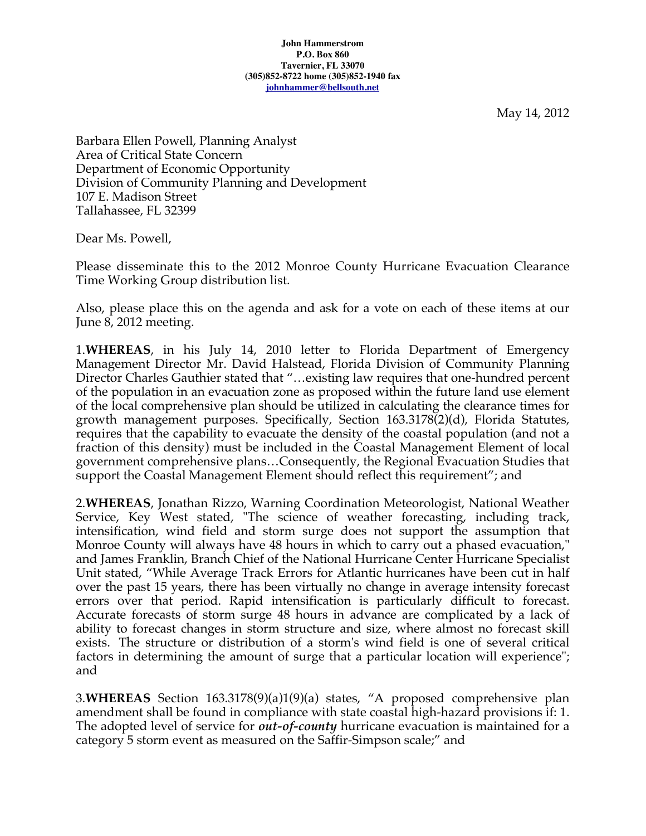May 14, 2012

Barbara Ellen Powell, Planning Analyst Area of Critical State Concern Department of Economic Opportunity Division of Community Planning and Development 107 E. Madison Street Tallahassee, FL 32399

Dear Ms. Powell,

Please disseminate this to the 2012 Monroe County Hurricane Evacuation Clearance Time Working Group distribution list.

Also, please place this on the agenda and ask for a vote on each of these items at our June 8, 2012 meeting.

1.**WHEREAS**, in his July 14, 2010 letter to Florida Department of Emergency Management Director Mr. David Halstead, Florida Division of Community Planning Director Charles Gauthier stated that "…existing law requires that one-hundred percent of the population in an evacuation zone as proposed within the future land use element of the local comprehensive plan should be utilized in calculating the clearance times for growth management purposes. Specifically, Section 163.3178(2)(d), Florida Statutes, requires that the capability to evacuate the density of the coastal population (and not a fraction of this density) must be included in the Coastal Management Element of local government comprehensive plans…Consequently, the Regional Evacuation Studies that support the Coastal Management Element should reflect this requirement"; and

2.**WHEREAS**, Jonathan Rizzo, Warning Coordination Meteorologist, National Weather Service, Key West stated, "The science of weather forecasting, including track, intensification, wind field and storm surge does not support the assumption that Monroe County will always have 48 hours in which to carry out a phased evacuation," and James Franklin, Branch Chief of the National Hurricane Center Hurricane Specialist Unit stated, "While Average Track Errors for Atlantic hurricanes have been cut in half over the past 15 years, there has been virtually no change in average intensity forecast errors over that period. Rapid intensification is particularly difficult to forecast. Accurate forecasts of storm surge 48 hours in advance are complicated by a lack of ability to forecast changes in storm structure and size, where almost no forecast skill exists. The structure or distribution of a storm's wind field is one of several critical factors in determining the amount of surge that a particular location will experience"; and

3.**WHEREAS** Section 163.3178(9)(a)1(9)(a) states, "A proposed comprehensive plan amendment shall be found in compliance with state coastal high-hazard provisions if: 1. The adopted level of service for *out-of-county* hurricane evacuation is maintained for a category 5 storm event as measured on the Saffir-Simpson scale;" and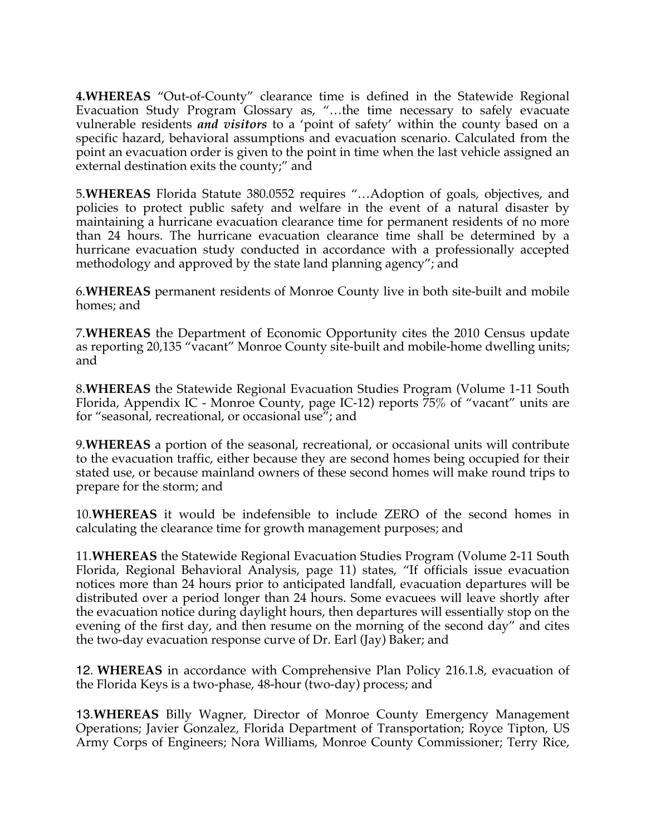**4.WHEREAS** "Out-of-County" clearance time is defined in the Statewide Regional Evacuation Study Program Glossary as, "…the time necessary to safely evacuate vulnerable residents *and visitors* to a 'point of safety' within the county based on a specific hazard, behavioral assumptions and evacuation scenario. Calculated from the point an evacuation order is given to the point in time when the last vehicle assigned an external destination exits the county;" and

5.**WHEREAS** Florida Statute 380.0552 requires "…Adoption of goals, objectives, and policies to protect public safety and welfare in the event of a natural disaster by maintaining a hurricane evacuation clearance time for permanent residents of no more than 24 hours. The hurricane evacuation clearance time shall be determined by a hurricane evacuation study conducted in accordance with a professionally accepted methodology and approved by the state land planning agency"; and

6.**WHEREAS** permanent residents of Monroe County live in both site-built and mobile homes; and

7.**WHEREAS** the Department of Economic Opportunity cites the 2010 Census update as reporting 20,135 "vacant" Monroe County site-built and mobile-home dwelling units; and

8.**WHEREAS** the Statewide Regional Evacuation Studies Program (Volume 1-11 South Florida, Appendix IC - Monroe County, page IC-12) reports 75% of "vacant" units are for "seasonal, recreational, or occasional use"; and

9.**WHEREAS** a portion of the seasonal, recreational, or occasional units will contribute to the evacuation traffic, either because they are second homes being occupied for their stated use, or because mainland owners of these second homes will make round trips to prepare for the storm; and

10.**WHEREAS** it would be indefensible to include ZERO of the second homes in calculating the clearance time for growth management purposes; and

11.**WHEREAS** the Statewide Regional Evacuation Studies Program (Volume 2-11 South Florida, Regional Behavioral Analysis, page 11) states, "If officials issue evacuation notices more than 24 hours prior to anticipated landfall, evacuation departures will be distributed over a period longer than 24 hours. Some evacuees will leave shortly after the evacuation notice during daylight hours, then departures will essentially stop on the evening of the first day, and then resume on the morning of the second day" and cites the two-day evacuation response curve of Dr. Earl (Jay) Baker; and

12. **WHEREAS** in accordance with Comprehensive Plan Policy 216.1.8, evacuation of the Florida Keys is a two-phase, 48-hour (two-day) process; and

13.**WHEREAS** Billy Wagner, Director of Monroe County Emergency Management Operations; Javier Gonzalez, Florida Department of Transportation; Royce Tipton, US Army Corps of Engineers; Nora Williams, Monroe County Commissioner; Terry Rice,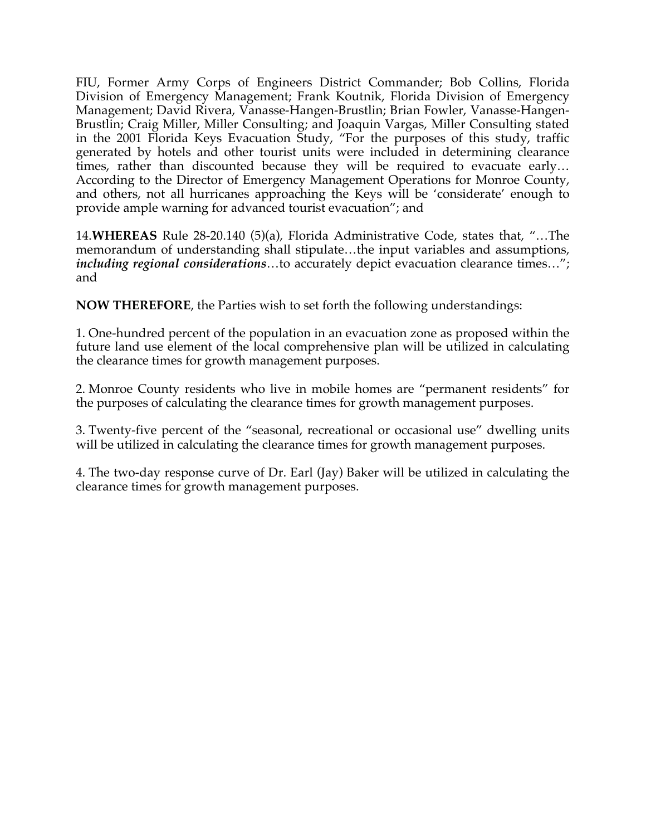FIU, Former Army Corps of Engineers District Commander; Bob Collins, Florida Division of Emergency Management; Frank Koutnik, Florida Division of Emergency Management; David Rivera, Vanasse-Hangen-Brustlin; Brian Fowler, Vanasse-Hangen-Brustlin; Craig Miller, Miller Consulting; and Joaquin Vargas, Miller Consulting stated in the 2001 Florida Keys Evacuation Study, "For the purposes of this study, traffic generated by hotels and other tourist units were included in determining clearance times, rather than discounted because they will be required to evacuate early… According to the Director of Emergency Management Operations for Monroe County, and others, not all hurricanes approaching the Keys will be 'considerate' enough to provide ample warning for advanced tourist evacuation"; and

14.**WHEREAS** Rule 28-20.140 (5)(a), Florida Administrative Code, states that, "…The memorandum of understanding shall stipulate…the input variables and assumptions, *including regional considerations*…to accurately depict evacuation clearance times…"; and

**NOW THEREFORE**, the Parties wish to set forth the following understandings:

1. One-hundred percent of the population in an evacuation zone as proposed within the future land use element of the local comprehensive plan will be utilized in calculating the clearance times for growth management purposes.

2. Monroe County residents who live in mobile homes are "permanent residents" for the purposes of calculating the clearance times for growth management purposes.

3. Twenty-five percent of the "seasonal, recreational or occasional use" dwelling units will be utilized in calculating the clearance times for growth management purposes.

4. The two-day response curve of Dr. Earl (Jay) Baker will be utilized in calculating the clearance times for growth management purposes.